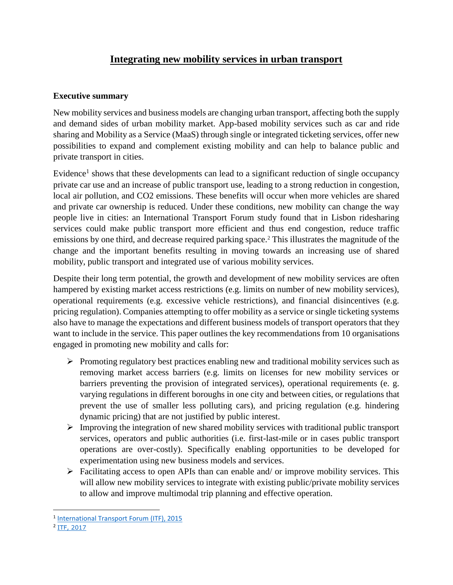# **Integrating new mobility services in urban transport**

# **Executive summary**

New mobility services and business models are changing urban transport, affecting both the supply and demand sides of urban mobility market. App-based mobility services such as car and ride sharing and Mobility as a Service (MaaS) through single or integrated ticketing services, offer new possibilities to expand and complement existing mobility and can help to balance public and private transport in cities.

Evidence<sup>1</sup> shows that these developments can lead to a significant reduction of single occupancy private car use and an increase of public transport use, leading to a strong reduction in congestion, local air pollution, and CO2 emissions. These benefits will occur when more vehicles are shared and private car ownership is reduced. Under these conditions, new mobility can change the way people live in cities: an International Transport Forum study found that in Lisbon ridesharing services could make public transport more efficient and thus end congestion, reduce traffic emissions by one third, and decrease required parking space.<sup>2</sup> This illustrates the magnitude of the change and the important benefits resulting in moving towards an increasing use of shared mobility, public transport and integrated use of various mobility services.

Despite their long term potential, the growth and development of new mobility services are often hampered by existing market access restrictions (e.g. limits on number of new mobility services), operational requirements (e.g. excessive vehicle restrictions), and financial disincentives (e.g. pricing regulation). Companies attempting to offer mobility as a service or single ticketing systems also have to manage the expectations and different business models of transport operators that they want to include in the service. This paper outlines the key recommendations from 10 organisations engaged in promoting new mobility and calls for:

- $\triangleright$  Promoting regulatory best practices enabling new and traditional mobility services such as removing market access barriers (e.g. limits on licenses for new mobility services or barriers preventing the provision of integrated services), operational requirements (e. g. varying regulations in different boroughs in one city and between cities, or regulations that prevent the use of smaller less polluting cars), and pricing regulation (e.g. hindering dynamic pricing) that are not justified by public interest.
- $\triangleright$  Improving the integration of new shared mobility services with traditional public transport services, operators and public authorities (i.e. first-last-mile or in cases public transport operations are over-costly). Specifically enabling opportunities to be developed for experimentation using new business models and services.
- $\triangleright$  Facilitating access to open APIs than can enable and/ or improve mobility services. This will allow new mobility services to integrate with existing public/private mobility services to allow and improve multimodal trip planning and effective operation.

l

<sup>&</sup>lt;sup>1</sup> [International Transport Forum](https://www.itf-oecd.org/sites/default/files/docs/cop-pdf-03.pdf) (ITF), 2015

<sup>&</sup>lt;sup>2</sup> [ITF, 2017](https://www.itf-oecd.org/sites/default/files/docs/transition-shared-mobility.pdf)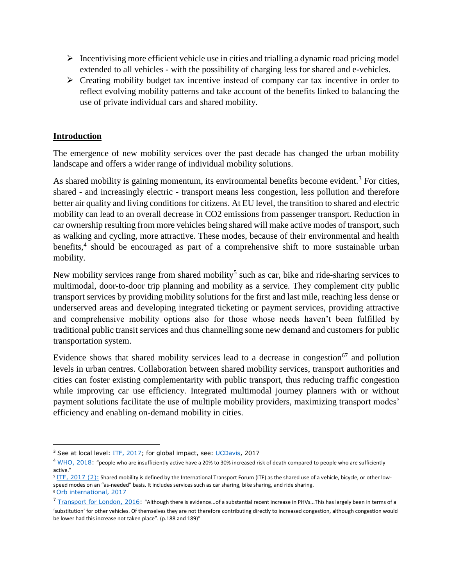- $\triangleright$  Incentivising more efficient vehicle use in cities and trialling a dynamic road pricing model extended to all vehicles - with the possibility of charging less for shared and e-vehicles.
- $\triangleright$  Creating mobility budget tax incentive instead of company car tax incentive in order to reflect evolving mobility patterns and take account of the benefits linked to balancing the use of private individual cars and shared mobility.

## **Introduction**

The emergence of new mobility services over the past decade has changed the urban mobility landscape and offers a wider range of individual mobility solutions.

As shared mobility is gaining momentum, its environmental benefits become evident.<sup>3</sup> For cities, shared - and increasingly electric - transport means less congestion, less pollution and therefore better air quality and living conditions for citizens. At EU level, the transition to shared and electric mobility can lead to an overall decrease in CO2 emissions from passenger transport. Reduction in car ownership resulting from more vehicles being shared will make active modes of transport, such as walking and cycling, more attractive. These modes, because of their environmental and health benefits,<sup>4</sup> should be encouraged as part of a comprehensive shift to more sustainable urban mobility.

New mobility services range from shared mobility<sup>5</sup> such as car, bike and ride-sharing services to multimodal, door-to-door trip planning and mobility as a service. They complement city public transport services by providing mobility solutions for the first and last mile, reaching less dense or underserved areas and developing integrated ticketing or payment services, providing attractive and comprehensive mobility options also for those whose needs haven't been fulfilled by traditional public transit services and thus channelling some new demand and customers for public transportation system.

Evidence shows that shared mobility services lead to a decrease in congestion $67$  and pollution levels in urban centres. Collaboration between shared mobility services, transport authorities and cities can foster existing complementarity with public transport, thus reducing traffic congestion while improving car use efficiency. Integrated multimodal journey planners with or without payment solutions facilitate the use of multiple mobility providers, maximizing transport modes' efficiency and enabling on-demand mobility in cities.

<sup>6</sup> [Orb international, 2017](https://www.orb-international.com/2017/09/05/orbuber-attitudes-car-ownership-across-european-cities-september-2017/)

 $\overline{a}$ 

<sup>&</sup>lt;sup>3</sup> See at local level: [ITF, 2017;](https://www.itf-oecd.org/sites/default/files/docs/transition-shared-mobility.pdf) for global impact, see: [UCDavis,](https://steps.ucdavis.edu/wp-content/uploads/2017/05/STEPS_ITDP-3R-Report-5-10-2017-2.pdf) 2017

 $4 \text{ WHO}, 2018$ : "people who are insufficiently active have a 20% to 30% increased risk of death compared to people who are sufficiently active."

<sup>&</sup>lt;sup>5</sup> [ITF, 2017 \(2\):](https://www.itf-oecd.org/sites/default/files/docs/shared-automated-vehicles-business-models.pdf) Shared mobility is defined by the International Transport Forum (ITF) as the shared use of a vehicle, bicycle, or other lowspeed modes on an "as-needed" basis. It includes services such as car sharing, bike sharing, and ride sharing.

 $^7$  [Transport for London, 2016:](http://content.tfl.gov.uk/travel-in-london-report-9.pdf) "Although there is evidence...of a substantial recent increase in PHVs...This has largely been in terms of a 'substitution' for other vehicles. Of themselves they are not therefore contributing directly to increased congestion, although congestion would be lower had this increase not taken place". (p.188 and 189)"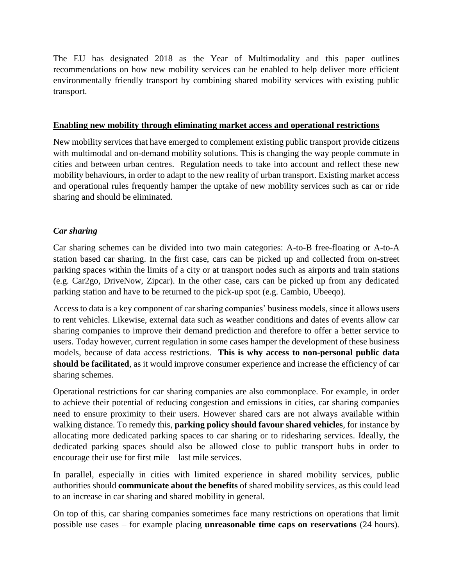The EU has designated 2018 as the Year of Multimodality and this paper outlines recommendations on how new mobility services can be enabled to help deliver more efficient environmentally friendly transport by combining shared mobility services with existing public transport.

#### **Enabling new mobility through eliminating market access and operational restrictions**

New mobility services that have emerged to complement existing public transport provide citizens with multimodal and on-demand mobility solutions. This is changing the way people commute in cities and between urban centres. Regulation needs to take into account and reflect these new mobility behaviours, in order to adapt to the new reality of urban transport. Existing market access and operational rules frequently hamper the uptake of new mobility services such as car or ride sharing and should be eliminated.

# *Car sharing*

Car sharing schemes can be divided into two main categories: A-to-B free-floating or A-to-A station based car sharing. In the first case, cars can be picked up and collected from on-street parking spaces within the limits of a city or at transport nodes such as airports and train stations (e.g. Car2go, DriveNow, Zipcar). In the other case, cars can be picked up from any dedicated parking station and have to be returned to the pick-up spot (e.g. Cambio, Ubeeqo).

Access to data is a key component of car sharing companies' business models, since it allows users to rent vehicles. Likewise, external data such as weather conditions and dates of events allow car sharing companies to improve their demand prediction and therefore to offer a better service to users. Today however, current regulation in some cases hamper the development of these business models, because of data access restrictions. **This is why access to non-personal public data should be facilitated**, as it would improve consumer experience and increase the efficiency of car sharing schemes.

Operational restrictions for car sharing companies are also commonplace. For example, in order to achieve their potential of reducing congestion and emissions in cities, car sharing companies need to ensure proximity to their users. However shared cars are not always available within walking distance. To remedy this, **parking policy should favour shared vehicles**, for instance by allocating more dedicated parking spaces to car sharing or to ridesharing services. Ideally, the dedicated parking spaces should also be allowed close to public transport hubs in order to encourage their use for first mile – last mile services.

In parallel, especially in cities with limited experience in shared mobility services, public authorities should **communicate about the benefits** of shared mobility services, as this could lead to an increase in car sharing and shared mobility in general.

On top of this, car sharing companies sometimes face many restrictions on operations that limit possible use cases – for example placing **unreasonable time caps on reservations** (24 hours).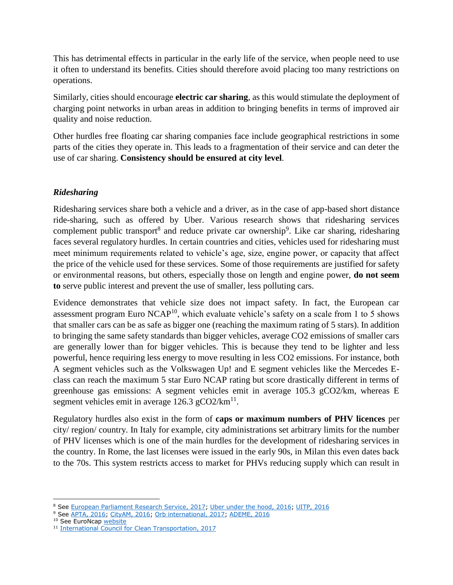This has detrimental effects in particular in the early life of the service, when people need to use it often to understand its benefits. Cities should therefore avoid placing too many restrictions on operations.

Similarly, cities should encourage **electric car sharing**, as this would stimulate the deployment of charging point networks in urban areas in addition to bringing benefits in terms of improved air quality and noise reduction.

Other hurdles free floating car sharing companies face include geographical restrictions in some parts of the cities they operate in. This leads to a fragmentation of their service and can deter the use of car sharing. **Consistency should be ensured at city level**.

# *Ridesharing*

Ridesharing services share both a vehicle and a driver, as in the case of app-based short distance ride-sharing, such as offered by Uber. Various research shows that ridesharing services complement public transport<sup>8</sup> and reduce private car ownership<sup>9</sup>. Like car sharing, ridesharing faces several regulatory hurdles. In certain countries and cities, vehicles used for ridesharing must meet minimum requirements related to vehicle's age, size, engine power, or capacity that affect the price of the vehicle used for these services. Some of those requirements are justified for safety or environmental reasons, but others, especially those on length and engine power, **do not seem to** serve public interest and prevent the use of smaller, less polluting cars.

Evidence demonstrates that vehicle size does not impact safety. In fact, the European car assessment program [Euro NCAP](https://www.euroncap.com/en/ratings-rewards/latest-safety-ratings/#?selectedMake=0&selectedMakeName=Select%20a%20make&selectedModel=0&includeFullSafetyPackage=true&includeStandardSafetyPackage=true&selectedModelName=All&selectedProtocols=26061&selectedClasses=1202,1199,1201,1196,1205,1203,1198,1179,1197,1204,1180&allClas)<sup>10</sup>, which evaluate vehicle's safety on a scale from 1 to 5 shows that smaller cars can be as safe as bigger one (reaching the maximum rating of 5 stars). In addition to bringing the same safety standards than bigger vehicles, average CO2 emissions of smaller cars are generally lower than for bigger vehicles. This is because they tend to be lighter and less powerful, hence requiring less energy to move resulting in less CO2 emissions. For instance, both A segment vehicles such as the Volkswagen Up! and E segment vehicles like the Mercedes Eclass can reach the maximum 5 star Euro NCAP rating but score drastically different in terms of greenhouse gas emissions: A segment vehicles emit in average 105.3 gCO2/km, whereas E segment vehicles emit in average  $126.3 \text{ gCO}2/km^{11}$ .

Regulatory hurdles also exist in the form of **caps or maximum numbers of PHV licences** per city/ region/ country. In Italy for example, city administrations set arbitrary limits for the number of PHV licenses which is one of the main hurdles for the development of ridesharing services in the country. In Rome, the last licenses were issued in the early 90s, in Milan this even dates back to the 70s. This system restricts access to market for PHVs reducing supply which can result in

 $\overline{\phantom{a}}$ <sup>8</sup> See [European Parliament Research Service,](http://www.europarl.europa.eu/RegData/etudes/STUD/2017/601970/IPOL_STU(2017)601970_EN.pdf?utm_source=POLITICO.EU&utm_campaign=5078d6d4b5-EMAIL_CAMPAIGN_2017_05_10&utm_medium=email&utm_term=0_10959edeb5-5078d6d4b5-189622045) 2017; Uber [under the hood,](https://medium.com/uber-under-the-hood/londons-new-late-night-alternative-the-night-tube-uber-8f38e56de983) 2016; [UITP, 2016](http://www.uitp.org/public-transport-integrated-mobility)

<sup>&</sup>lt;sup>9</sup> See [APTA, 2016;](http://www.apta.com/resources/reportsandpublications/Documents/APTA-Shared-Mobility.pdf) [CityAM, 2016;](http://www.cityam.com/254469/uber-says-quarter-londoners-have-ditched-car-ownership) [Orb international, 2017;](https://www.orb-international.com/2017/09/05/orbuber-attitudes-car-ownership-across-european-cities-september-2017/) ADEME, 2016

<sup>&</sup>lt;sup>10</sup> See EuroNcap [website](https://www.euroncap.com/en)

<sup>11</sup> [International Council for Clean Transportation, 2017](https://www.theicct.org/sites/default/files/publications/ICCT_Pocketbook_2017_Web.pdf)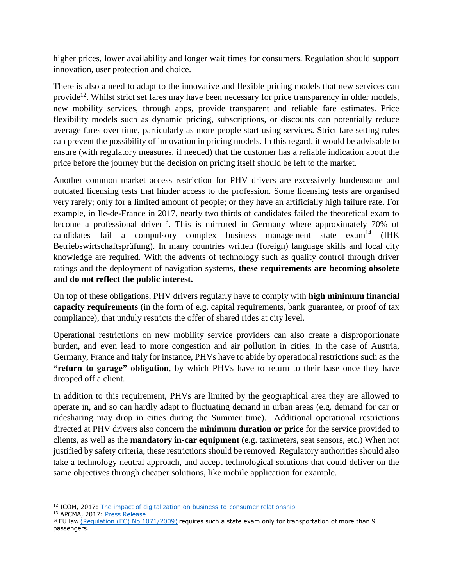higher prices, lower availability and longer wait times for consumers. Regulation should support innovation, user protection and choice.

There is also a need to adapt to the innovative and flexible pricing models that new services can provide<sup>12</sup>. Whilst strict set fares may have been necessary for price transparency in older models, new mobility services, through apps, provide transparent and reliable fare estimates. Price flexibility models such as dynamic pricing, subscriptions, or discounts can potentially reduce average fares over time, particularly as more people start using services. Strict fare setting rules can prevent the possibility of innovation in pricing models. In this regard, it would be advisable to ensure (with regulatory measures, if needed) that the customer has a reliable indication about the price before the journey but the decision on pricing itself should be left to the market.

Another common market access restriction for PHV drivers are excessively burdensome and outdated licensing tests that hinder access to the profession. Some licensing tests are organised very rarely; only for a limited amount of people; or they have an artificially high failure rate. For example, in Ile-de-France in 2017, nearly two thirds of candidates failed the theoretical exam to become a professional driver<sup>13</sup>. This is mirrored in Germany where approximately 70% of candidates fail a compulsory complex business management state  $exam<sup>14</sup>$  (IHK) Betriebswirtschaftsprüfung). In many countries written (foreign) language skills and local city knowledge are required. With the advents of technology such as quality control through driver ratings and the deployment of navigation systems, **these requirements are becoming obsolete and do not reflect the public interest.**

On top of these obligations, PHV drivers regularly have to comply with **high minimum financial capacity requirements** (in the form of e.g. capital requirements, bank guarantee, or proof of tax compliance), that unduly restricts the offer of shared rides at city level.

Operational restrictions on new mobility service providers can also create a disproportionate burden, and even lead to more congestion and air pollution in cities. In the case of Austria, Germany, France and Italy for instance, PHVs have to abide by operational restrictions such as the **"return to garage" obligation**, by which PHVs have to return to their base once they have dropped off a client.

In addition to this requirement, PHVs are limited by the geographical area they are allowed to operate in, and so can hardly adapt to fluctuating demand in urban areas (e.g. demand for car or ridesharing may drop in cities during the Summer time). Additional operational restrictions directed at PHV drivers also concern the **minimum duration or price** for the service provided to clients, as well as the **mandatory in-car equipment** (e.g. taximeters, seat sensors, etc.) When not justified by safety criteria, these restrictions should be removed. Regulatory authorities should also take a technology neutral approach, and accept technological solutions that could deliver on the same objectives through cheaper solutions, like mobile application for example.

<sup>&</sup>lt;sup>12</sup> ICOM, 2017: [The impact of digitalization on business-to-consumer relationship](http://www.i-com.it/wp-content/uploads/2017/06/Rapporto-Smart-Consumers1.pdf)

<sup>&</sup>lt;sup>13</sup> APCMA, 2017: [Press Release](https://apcma.fr/2017/12/01/examen-taxi-vtc-valider-competences-projet-professionnel-reussi-garantir-aux-usagers-qualite-de-service/)

<sup>14</sup> EU law [\(Regulation \(EC\) No 1071/2009\)](http://eur-lex.europa.eu/legal-content/EN/TXT/PDF/?uri=CELEX:32009R1071&from=EN) requires such a state exam only for transportation of more than 9 passengers.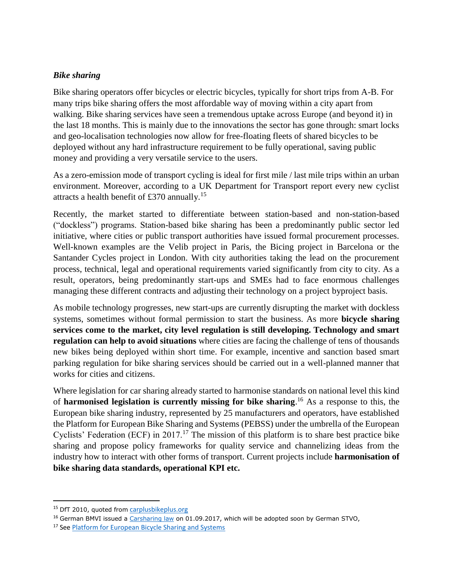## *Bike sharing*

Bike sharing operators offer bicycles or electric bicycles, typically for short trips from A-B. For many trips bike sharing offers the most affordable way of moving within a city apart from walking. Bike sharing services have seen a tremendous uptake across Europe (and beyond it) in the last 18 months. This is mainly due to the innovations the sector has gone through: smart locks and geo-localisation technologies now allow for free-floating fleets of shared bicycles to be deployed without any hard infrastructure requirement to be fully operational, saving public money and providing a very versatile service to the users.

As a zero-emission mode of transport cycling is ideal for first mile / last mile trips within an urban environment. Moreover, according to a UK Department for Transport report every new cyclist attracts a health benefit of £370 annually.<sup>15</sup>

Recently, the market started to differentiate between station-based and non-station-based ("dockless") programs. Station-based bike sharing has been a predominantly public sector led initiative, where cities or public transport authorities have issued formal procurement processes. Well-known examples are the Velib project in Paris, the Bicing project in Barcelona or the Santander Cycles project in London. With city authorities taking the lead on the procurement process, technical, legal and operational requirements varied significantly from city to city. As a result, operators, being predominantly start-ups and SMEs had to face enormous challenges managing these different contracts and adjusting their technology on a project byproject basis.

As mobile technology progresses, new start-ups are currently disrupting the market with dockless systems, sometimes without formal permission to start the business. As more **bicycle sharing services come to the market, city level regulation is still developing. Technology and smart regulation can help to avoid situations** where cities are facing the challenge of tens of thousands new bikes being deployed within short time. For example, incentive and sanction based smart parking regulation for bike sharing services should be carried out in a well-planned manner that works for cities and citizens.

Where legislation for car sharing already started to harmonise standards on national level this kind of **harmonised legislation is currently missing for bike sharing**. <sup>16</sup> As a response to this, the European bike sharing industry, represented by 25 manufacturers and operators, have established the Platform for European Bike Sharing and Systems (PEBSS) under the umbrella of the European Cyclists' Federation (ECF) in 2017.<sup>17</sup> The mission of this platform is to share best practice bike sharing and propose policy frameworks for quality service and channelizing ideas from the industry how to interact with other forms of transport. Current projects include **harmonisation of bike sharing data standards, operational KPI etc.**

<sup>&</sup>lt;sup>15</sup> DfT 2010, quoted from [carplusbikeplus.org](https://www.carplusbikeplus.org.uk/wp-content/uploads/2017/02/Economic-case-for-bike-share.pdf)

<sup>&</sup>lt;sup>16</sup> German BMVI issued a [Carsharing law](https://www.bmvi.de/SharedDocs/DE/Artikel/LA/carsharing-gesetz.html) on 01.09.2017, which will be adopted soon by German STVO,

<sup>&</sup>lt;sup>17</sup> Se[e Platform for European Bicycle Sharing and Systems](https://ecf.com/community/platform-european-bicycle-sharing-systems-pebss)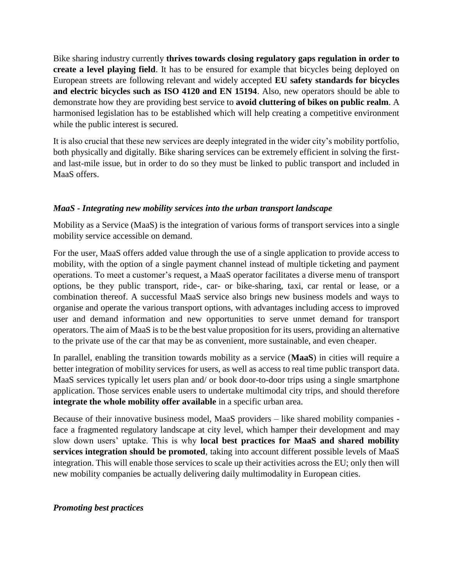Bike sharing industry currently **thrives towards closing regulatory gaps regulation in order to create a level playing field**. It has to be ensured for example that bicycles being deployed on European streets are following relevant and widely accepted **EU safety standards for bicycles and electric bicycles such as ISO 4120 and EN 15194**. Also, new operators should be able to demonstrate how they are providing best service to **avoid cluttering of bikes on public realm**. A harmonised legislation has to be established which will help creating a competitive environment while the public interest is secured.

It is also crucial that these new services are deeply integrated in the wider city's mobility portfolio, both physically and digitally. Bike sharing services can be extremely efficient in solving the firstand last-mile issue, but in order to do so they must be linked to public transport and included in MaaS offers.

## *MaaS - Integrating new mobility services into the urban transport landscape*

Mobility as a Service (MaaS) is the integration of various forms of transport services into a single mobility service accessible on demand.

For the user, MaaS offers added value through the use of a single application to provide access to mobility, with the option of a single payment channel instead of multiple ticketing and payment operations. To meet a customer's request, a MaaS operator facilitates a diverse menu of transport options, be they public transport, ride-, car- or bike-sharing, taxi, car rental or lease, or a combination thereof. A successful MaaS service also brings new business models and ways to organise and operate the various transport options, with advantages including access to improved user and demand information and new opportunities to serve unmet demand for transport operators. The aim of MaaS is to be the best value proposition for its users, providing an alternative to the private use of the car that may be as convenient, more sustainable, and even cheaper.

In parallel, enabling the transition towards mobility as a service (**MaaS**) in cities will require a better integration of mobility services for users, as well as access to real time public transport data. MaaS services typically let users plan and/ or book door-to-door trips using a single smartphone application. Those services enable users to undertake multimodal city trips, and should therefore **integrate the whole mobility offer available** in a specific urban area.

Because of their innovative business model, MaaS providers – like shared mobility companies face a fragmented regulatory landscape at city level, which hamper their development and may slow down users' uptake. This is why **local best practices for MaaS and shared mobility services integration should be promoted**, taking into account different possible levels of MaaS integration. This will enable those services to scale up their activities across the EU; only then will new mobility companies be actually delivering daily multimodality in European cities.

## *Promoting best practices*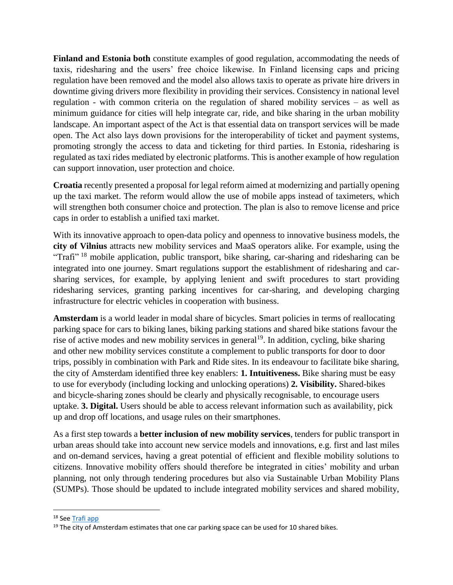**Finland and Estonia both** constitute examples of good regulation, accommodating the needs of taxis, ridesharing and the users' free choice likewise. In Finland licensing caps and pricing regulation have been removed and the model also allows taxis to operate as private hire drivers in downtime giving drivers more flexibility in providing their services. Consistency in national level regulation - with common criteria on the regulation of shared mobility services – as well as minimum guidance for cities will help integrate car, ride, and bike sharing in the urban mobility landscape. An important aspect of the Act is that essential data on transport services will be made open. The Act also lays down provisions for the interoperability of ticket and payment systems, promoting strongly the access to data and ticketing for third parties. In Estonia, ridesharing is regulated as taxi rides mediated by electronic platforms. This is another example of how regulation can support innovation, user protection and choice.

**Croatia** recently presented a proposal for legal reform aimed at modernizing and partially opening up the taxi market. The reform would allow the use of mobile apps instead of taximeters, which will strengthen both consumer choice and protection. The plan is also to remove license and price caps in order to establish a unified taxi market.

With its innovative approach to open-data policy and openness to innovative business models, the **city of Vilnius** attracts new mobility services and MaaS operators alike. For example, using the "Trafi" <sup>18</sup> mobile application, public transport, bike sharing, car-sharing and ridesharing can be integrated into one journey. Smart regulations support the establishment of ridesharing and carsharing services, for example, by applying lenient and swift procedures to start providing ridesharing services, granting parking incentives for car-sharing, and developing charging infrastructure for electric vehicles in cooperation with business.

**Amsterdam** is a world leader in modal share of bicycles. Smart policies in terms of reallocating parking space for cars to biking lanes, biking parking stations and shared bike stations favour the rise of active modes and new mobility services in general<sup>19</sup>. In addition, cycling, bike sharing and other new mobility services constitute a complement to public transports for door to door trips, possibly in combination with Park and Ride sites. In its endeavour to facilitate bike sharing, the city of Amsterdam identified three key enablers: **1. Intuitiveness.** Bike sharing must be easy to use for everybody (including locking and unlocking operations) **2. Visibility.** Shared-bikes and bicycle-sharing zones should be clearly and physically recognisable, to encourage users uptake. **3. Digital.** Users should be able to access relevant information such as availability, pick up and drop off locations, and usage rules on their smartphones.

As a first step towards a **better inclusion of new mobility services**, tenders for public transport in urban areas should take into account new service models and innovations, e.g. first and last miles and on-demand services, having a great potential of efficient and flexible mobility solutions to citizens. Innovative mobility offers should therefore be integrated in cities' mobility and urban planning, not only through tendering procedures but also via Sustainable Urban Mobility Plans (SUMPs). Those should be updated to include integrated mobility services and shared mobility,

l

<sup>18</sup> Se[e Trafi app](https://www.trafi.com/)

 $19$  The city of Amsterdam estimates that one car parking space can be used for 10 shared bikes.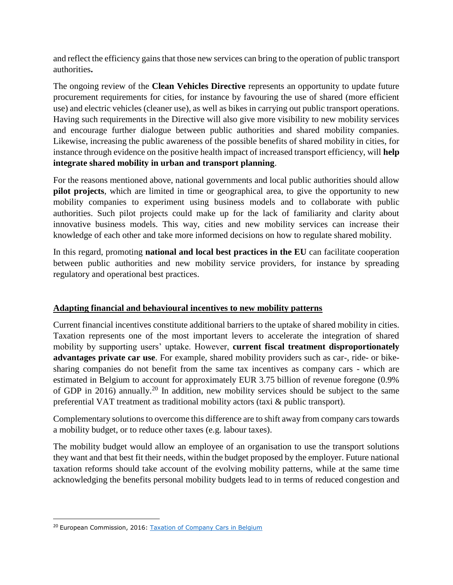and reflect the efficiency gains that those new services can bring to the operation of public transport authorities**.**

The ongoing review of the **Clean Vehicles Directive** represents an opportunity to update future procurement requirements for cities, for instance by favouring the use of shared (more efficient use) and electric vehicles (cleaner use), as well as bikes in carrying out public transport operations. Having such requirements in the Directive will also give more visibility to new mobility services and encourage further dialogue between public authorities and shared mobility companies. Likewise, increasing the public awareness of the possible benefits of shared mobility in cities, for instance through evidence on the positive health impact of increased transport efficiency, will **help integrate shared mobility in urban and transport planning**.

For the reasons mentioned above, national governments and local public authorities should allow **pilot projects**, which are limited in time or geographical area, to give the opportunity to new mobility companies to experiment using business models and to collaborate with public authorities. Such pilot projects could make up for the lack of familiarity and clarity about innovative business models. This way, cities and new mobility services can increase their knowledge of each other and take more informed decisions on how to regulate shared mobility.

In this regard, promoting **national and local best practices in the EU** can facilitate cooperation between public authorities and new mobility service providers, for instance by spreading regulatory and operational best practices.

# **Adapting financial and behavioural incentives to new mobility patterns**

Current financial incentives constitute additional barriers to the uptake of shared mobility in cities. Taxation represents one of the most important levers to accelerate the integration of shared mobility by supporting users' uptake. However, **current fiscal treatment disproportionately advantages private car use**. For example, shared mobility providers such as car-, ride- or bikesharing companies do not benefit from the same tax incentives as company cars - which are estimated in Belgium to account for approximately EUR 3.75 billion of revenue foregone (0.9% of GDP in 2016) annually.<sup>20</sup> In addition, new mobility services should be subject to the same preferential VAT treatment as traditional mobility actors (taxi & public transport).

Complementary solutions to overcome this difference are to shift away from company cars towards a mobility budget, or to reduce other taxes (e.g. labour taxes).

The mobility budget would allow an employee of an organisation to use the transport solutions they want and that best fit their needs, within the budget proposed by the employer. Future national taxation reforms should take account of the evolving mobility patterns, while at the same time acknowledging the benefits personal mobility budgets lead to in terms of reduced congestion and

<sup>&</sup>lt;sup>20</sup> European Commission, 2016: [Taxation of Company Cars in Belgium](https://ec.europa.eu/info/sites/info/files/eb026_en.pdf)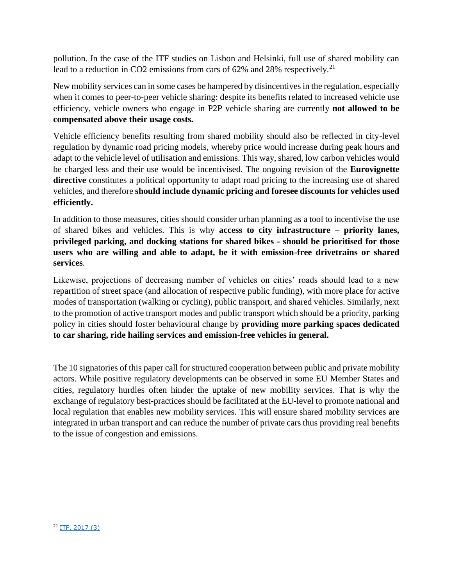pollution. In the case of the ITF studies on Lisbon and Helsinki, full use of shared mobility can lead to a reduction in CO2 emissions from cars of 62% and 28% respectively.<sup>21</sup>

New mobility services can in some cases be hampered by disincentives in the regulation, especially when it comes to peer-to-peer vehicle sharing: despite its benefits related to increased vehicle use efficiency, vehicle owners who engage in P2P vehicle sharing are currently **not allowed to be compensated above their usage costs.**

Vehicle efficiency benefits resulting from shared mobility should also be reflected in city-level regulation by dynamic road pricing models, whereby price would increase during peak hours and adapt to the vehicle level of utilisation and emissions. This way, shared, low carbon vehicles would be charged less and their use would be incentivised. The ongoing revision of the **Eurovignette directive** constitutes a political opportunity to adapt road pricing to the increasing use of shared vehicles, and therefore **should include dynamic pricing and foresee discounts for vehicles used efficiently.**

In addition to those measures, cities should consider urban planning as a tool to incentivise the use of shared bikes and vehicles. This is why **access to city infrastructure – priority lanes, privileged parking, and docking stations for shared bikes - should be prioritised for those users who are willing and able to adapt, be it with emission-free drivetrains or shared services**.

Likewise, projections of decreasing number of vehicles on cities' roads should lead to a new repartition of street space (and allocation of respective public funding), with more place for active modes of transportation (walking or cycling), public transport, and shared vehicles. Similarly, next to the promotion of active transport modes and public transport which should be a priority, parking policy in cities should foster behavioural change by **providing more parking spaces dedicated to car sharing, ride hailing services and emission-free vehicles in general.**

The 10 signatories of this paper call for structured cooperation between public and private mobility actors. While positive regulatory developments can be observed in some EU Member States and cities, regulatory hurdles often hinder the uptake of new mobility services. That is why the exchange of regulatory best-practices should be facilitated at the EU-level to promote national and local regulation that enables new mobility services. This will ensure shared mobility services are integrated in urban transport and can reduce the number of private cars thus providing real benefits to the issue of congestion and emissions.

<sup>21</sup> ITF, 2017 (3)